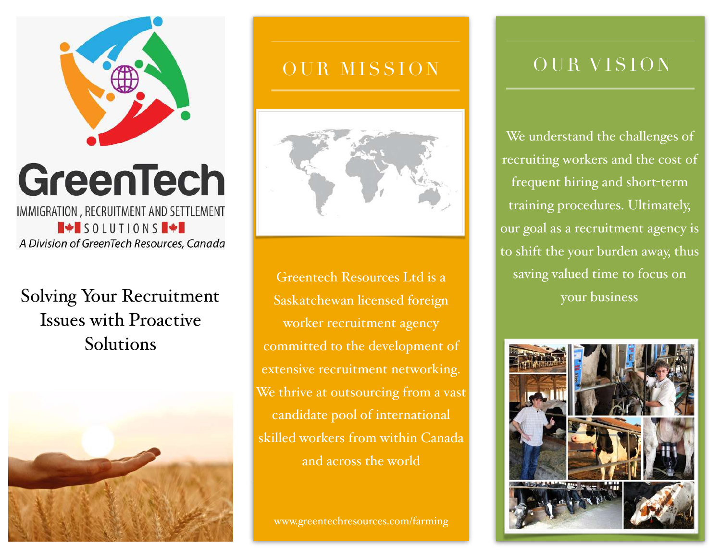

## GreenTech IMMIGRATION, RECRUITMENT AND SETTLEMENT  $\blacksquare$  SOLUTIONS  $\blacksquare$   $\blacktriangleright$ A Division of GreenTech Resources, Canada

# Solving Your Recruitment Issues with Proactive Solutions



# OUR MISSION



Greentech Resources Ltd is a Saskatchewan licensed foreign worker recruitment agency committed to the development of extensive recruitment networking. We thrive at outsourcing from a vast candidate pool of international skilled workers from within Canada and across the world

www.greentechresources.com/farming

## OUR VISION

We understand the challenges of recruiting workers and the cost of frequent hiring and short-term training procedures. Ultimately, our goal as a recruitment agency is to shift the your burden away, thus saving valued time to focus on your business

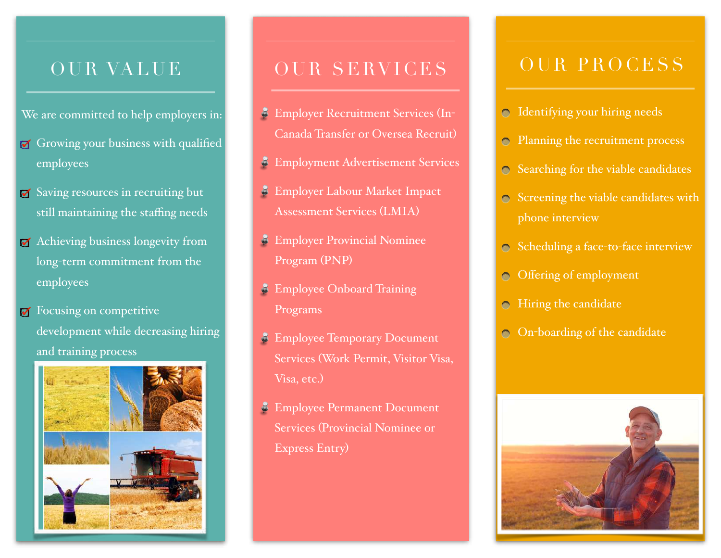## OUR VALUE

- We are committed to help employers in:
- $\sigma$  Growing your business with qualified employees
- Saving resources in recruiting but still maintaining the staffing needs
- Achieving business longevity from long-term commitment from the employees
- **F** Focusing on competitive development while decreasing hiring and training process



## OUR SERVICES

- Employer Recruitment Services (In-Canada Transfer or Oversea Recruit)
- Employment Advertisement Services
- Employer Labour Market Impact š Assessment Services (LMIA)
- Employer Provincial Nominee Program (PNP)
- **Employee Onboard Training** Programs
- **Employee Temporary Document** Services (Work Permit, Visitor Visa, Visa, etc.)
- **Employee Permanent Document** Services (Provincial Nominee or Express Entry)

### OUR PROCESS

- $\odot$  Identifying your hiring needs
- **Planning the recruitment process**
- Searching for the viable candidates
- $\circ$  Screening the viable candidates with phone interview
- Scheduling a face-to-face interview
- Offering of employment  $\bigcirc$
- **Hiring the candidate**
- $\odot$  On-boarding of the candidate